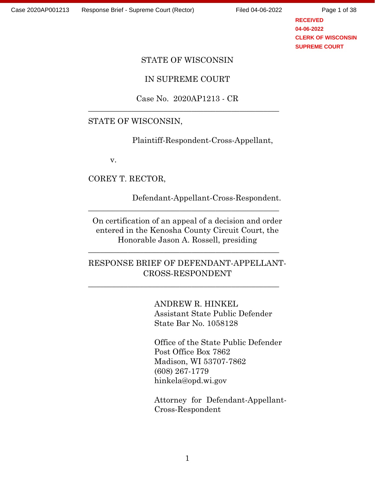Page 1 of 38

**RECEIVED 04-06-2022 CLERK OF WISCONSIN SUPREME COURT**

### STATE OF WISCONSIN

IN SUPREME COURT

Case No. 2020AP1213 - CR

\_\_\_\_\_\_\_\_\_\_\_\_\_\_\_\_\_\_\_\_\_\_\_\_\_\_\_\_\_\_\_\_\_\_\_\_\_\_\_\_\_\_\_\_\_\_\_\_

### STATE OF WISCONSIN,

Plaintiff-Respondent-Cross-Appellant,

v.

COREY T. RECTOR,

Defendant-Appellant-Cross-Respondent.

On certification of an appeal of a decision and order entered in the Kenosha County Circuit Court, the Honorable Jason A. Rossell, presiding

\_\_\_\_\_\_\_\_\_\_\_\_\_\_\_\_\_\_\_\_\_\_\_\_\_\_\_\_\_\_\_\_\_\_\_\_\_\_\_\_\_\_\_\_\_\_\_\_

RESPONSE BRIEF OF DEFENDANT-APPELLANT-CROSS-RESPONDENT

\_\_\_\_\_\_\_\_\_\_\_\_\_\_\_\_\_\_\_\_\_\_\_\_\_\_\_\_\_\_\_\_\_\_\_\_\_\_\_\_\_\_\_\_\_\_\_\_

\_\_\_\_\_\_\_\_\_\_\_\_\_\_\_\_\_\_\_\_\_\_\_\_\_\_\_\_\_\_\_\_\_\_\_\_\_\_\_\_\_\_\_\_\_\_\_\_

ANDREW R. HINKEL Assistant State Public Defender State Bar No. 1058128

Office of the State Public Defender Post Office Box 7862 Madison, WI 53707-7862 (608) 267-1779 hinkela@opd.wi.gov

Attorney for Defendant-Appellant-Cross-Respondent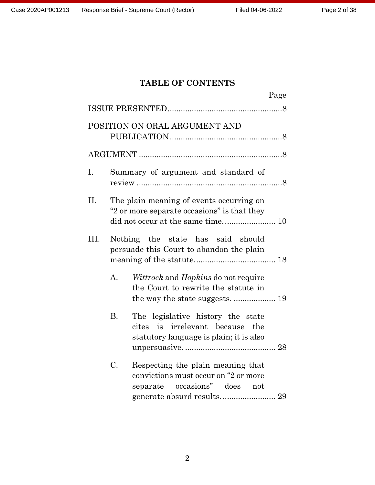# **TABLE OF CONTENTS**

|                               |                |                                                                                                                    | Page |  |  |
|-------------------------------|----------------|--------------------------------------------------------------------------------------------------------------------|------|--|--|
|                               |                |                                                                                                                    |      |  |  |
| POSITION ON ORAL ARGUMENT AND |                |                                                                                                                    |      |  |  |
|                               |                |                                                                                                                    |      |  |  |
| Ι.                            |                | Summary of argument and standard of                                                                                |      |  |  |
| II.                           |                | The plain meaning of events occurring on<br>"2 or more separate occasions" is that they                            |      |  |  |
| Ш.                            |                | Nothing the state has said should<br>persuade this Court to abandon the plain                                      |      |  |  |
|                               | $\mathbf{A}$ . | <i>Wittrock</i> and <i>Hopkins</i> do not require<br>the Court to rewrite the statute in                           |      |  |  |
|                               | <b>B.</b>      | The legislative history the state<br>is irrelevant because the<br>cites<br>statutory language is plain; it is also |      |  |  |
|                               | $\rm C$ .      | Respecting the plain meaning that<br>convictions must occur on "2 or more<br>separate occasions" does not          |      |  |  |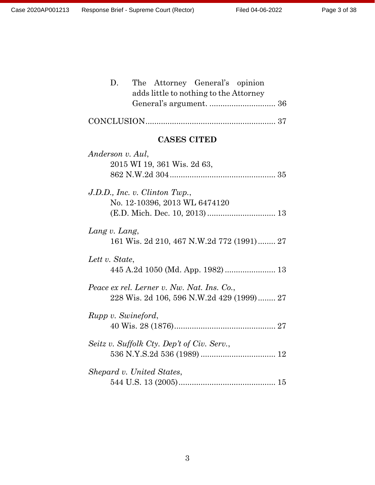| D.<br>The Attorney General's opinion<br>adds little to nothing to the Attorney          |
|-----------------------------------------------------------------------------------------|
|                                                                                         |
|                                                                                         |
| <b>CASES CITED</b>                                                                      |
| Anderson v. Aul,<br>2015 WI 19, 361 Wis. 2d 63,                                         |
| J.D.D., Inc. v. Clinton Twp.,<br>No. 12-10396, 2013 WL 6474120                          |
| Lang v. Lang,<br>161 Wis. 2d 210, 467 N.W.2d 772 (1991) 27                              |
| Lett v. State,<br>445 A.2d 1050 (Md. App. 1982)  13                                     |
| Peace ex rel. Lerner v. Nw. Nat. Ins. Co.,<br>228 Wis. 2d 106, 596 N.W.2d 429 (1999) 27 |
| Rupp v. Swineford,                                                                      |
| Seitz v. Suffolk Cty. Dep't of Civ. Serv.,                                              |
| Shepard v. United States,                                                               |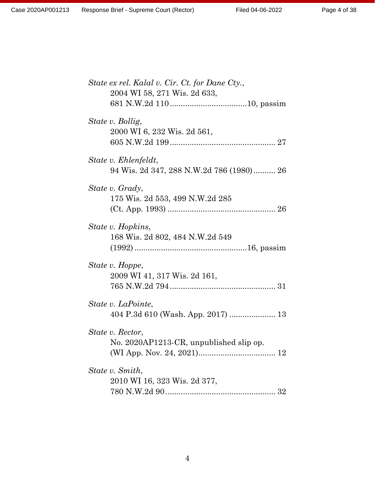| State ex rel. Kalal v. Cir. Ct. for Dane Cty.,                   |
|------------------------------------------------------------------|
| 2004 WI 58, 271 Wis. 2d 633,                                     |
| State v. Bollig,<br>2000 WI 6, 232 Wis. 2d 561,                  |
| State v. Ehlenfeldt,<br>94 Wis. 2d 347, 288 N.W.2d 786 (1980) 26 |
| State v. Grady,<br>175 Wis. 2d 553, 499 N.W.2d 285               |
| State v. Hopkins,<br>168 Wis. 2d 802, 484 N.W.2d 549             |
| State v. Hoppe,<br>2009 WI 41, 317 Wis. 2d 161,                  |
| State v. LaPointe,<br>404 P.3d 610 (Wash. App. 2017)  13         |
| State v. Rector,<br>No. 2020AP1213-CR, unpublished slip op.      |
| State v. Smith,<br>2010 WI 16, 323 Wis. 2d 377,                  |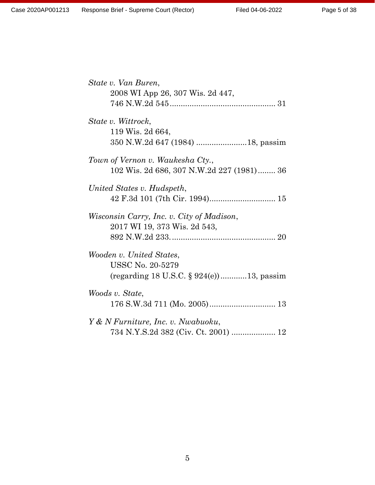| State v. Van Buren,                          |  |  |
|----------------------------------------------|--|--|
| 2008 WI App 26, 307 Wis. 2d 447,             |  |  |
|                                              |  |  |
|                                              |  |  |
| State v. Wittrock,                           |  |  |
| 119 Wis. 2d 664,                             |  |  |
|                                              |  |  |
|                                              |  |  |
| Town of Vernon v. Waukesha Cty.,             |  |  |
| 102 Wis. 2d 686, 307 N.W.2d 227 (1981) 36    |  |  |
| United States v. Hudspeth,                   |  |  |
|                                              |  |  |
|                                              |  |  |
| Wisconsin Carry, Inc. v. City of Madison,    |  |  |
| 2017 WI 19, 373 Wis. 2d 543,                 |  |  |
|                                              |  |  |
|                                              |  |  |
| Wooden v. United States,                     |  |  |
| <b>USSC No. 20-5279</b>                      |  |  |
| (regarding 18 U.S.C. $\S 924(e)$ )13, passim |  |  |
|                                              |  |  |
| Woods v. State,                              |  |  |
|                                              |  |  |
| Y & N Furniture, Inc. v. Nwabuoku,           |  |  |
|                                              |  |  |
|                                              |  |  |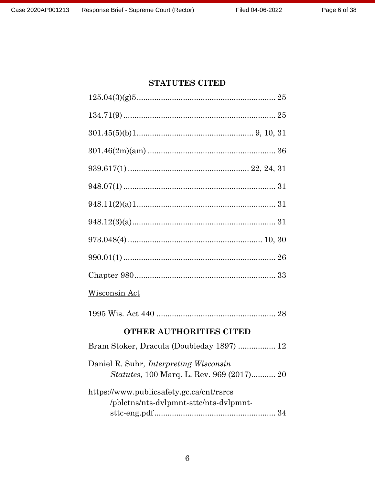# **STATUTES CITED**

| <u>Wisconsin Act</u>                                                                       |
|--------------------------------------------------------------------------------------------|
|                                                                                            |
| <b>OTHER AUTHORITIES CITED</b>                                                             |
| Bram Stoker, Dracula (Doubleday 1897)  12                                                  |
| Daniel R. Suhr, <i>Interpreting Wisconsin</i><br>Statutes, 100 Marq. L. Rev. 969 (2017) 20 |
| https://www.publicsafety.gc.ca/cnt/rsrcs<br>/pblctns/nts-dvlpmnt-sttc/nts-dvlpmnt-         |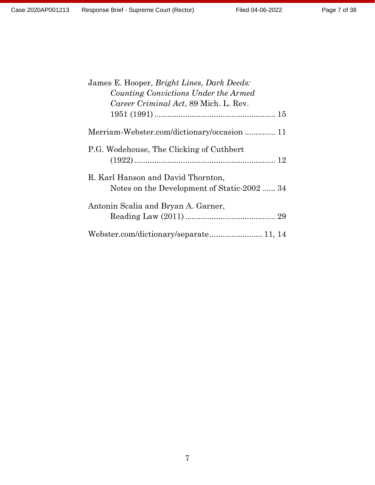| James E. Hooper, Bright Lines, Dark Deeds:  |
|---------------------------------------------|
| Counting Convictions Under the Armed        |
| Career Criminal Act, 89 Mich. L. Rev.       |
|                                             |
| Merriam-Webster.com/dictionary/occasion 11  |
| P.G. Wodehouse, The Clicking of Cuthbert    |
|                                             |
| R. Karl Hanson and David Thornton,          |
| Notes on the Development of Static-2002  34 |
| Antonin Scalia and Bryan A. Garner,         |
|                                             |
| Webster.com/dictionary/separate 11, 14      |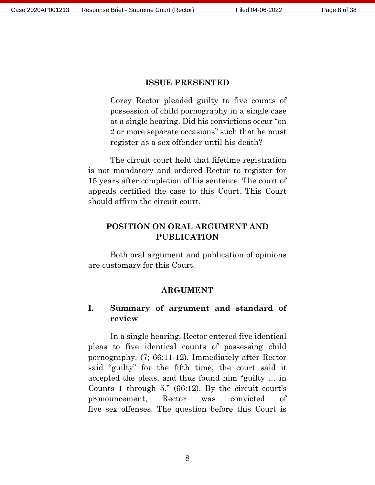### **ISSUE PRESENTED**

Corey Rector pleaded guilty to five counts of possession of child pornography in a single case at a single hearing. Did his convictions occur "on 2 or more separate occasions" such that he must register as a sex offender until his death?

The circuit court held that lifetime registration is not mandatory and ordered Rector to register for 15 years after completion of his sentence. The court of appeals certified the case to this Court. This Court should affirm the circuit court.

## **POSITION ON ORAL ARGUMENT AND PUBLICATION**

Both oral argument and publication of opinions are customary for this Court.

#### **ARGUMENT**

### **I. Summary of argument and standard of review**

In a single hearing, Rector entered five identical pleas to five identical counts of possessing child pornography. (7; 66:11-12). Immediately after Rector said "guilty" for the fifth time, the court said it accepted the pleas, and thus found him "guilty … in Counts 1 through 5." (66:12). By the circuit court's pronouncement, Rector was convicted of five sex offenses. The question before this Court is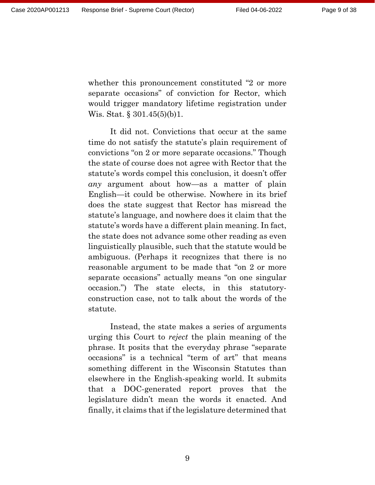whether this pronouncement constituted "2 or more separate occasions" of conviction for Rector, which would trigger mandatory lifetime registration under Wis. Stat. § 301.45(5)(b)1.

It did not. Convictions that occur at the same time do not satisfy the statute's plain requirement of convictions "on 2 or more separate occasions." Though the state of course does not agree with Rector that the statute's words compel this conclusion, it doesn't offer *any* argument about how—as a matter of plain English—it could be otherwise. Nowhere in its brief does the state suggest that Rector has misread the statute's language, and nowhere does it claim that the statute's words have a different plain meaning. In fact, the state does not advance some other reading as even linguistically plausible, such that the statute would be ambiguous. (Perhaps it recognizes that there is no reasonable argument to be made that "on 2 or more separate occasions" actually means "on one singular occasion.") The state elects, in this statutoryconstruction case, not to talk about the words of the statute.

Instead, the state makes a series of arguments urging this Court to *reject* the plain meaning of the phrase. It posits that the everyday phrase "separate occasions" is a technical "term of art" that means something different in the Wisconsin Statutes than elsewhere in the English-speaking world. It submits that a DOC-generated report proves that the legislature didn't mean the words it enacted. And finally, it claims that if the legislature determined that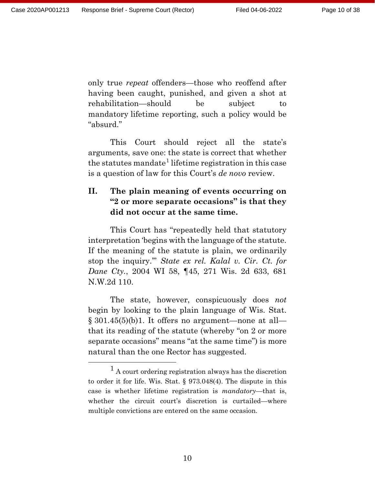Page 10 of 38

only true *repeat* offenders—those who reoffend after having been caught, punished, and given a shot at rehabilitation—should be subject to mandatory lifetime reporting, such a policy would be "absurd."

This Court should reject all the state's arguments, save one: the state is correct that whether the statutes mandate<sup>[1](#page-9-0)</sup> lifetime registration in this case is a question of law for this Court's *de novo* review.

## **II. The plain meaning of events occurring on "2 or more separate occasions" is that they did not occur at the same time.**

This Court has "repeatedly held that statutory interpretation 'begins with the language of the statute. If the meaning of the statute is plain, we ordinarily stop the inquiry.'" *State ex rel. Kalal v. Cir. Ct. for Dane Cty.*, 2004 WI 58, ¶45, 271 Wis. 2d 633, 681 N.W.2d 110.

The state, however, conspicuously does *not* begin by looking to the plain language of Wis. Stat.  $\S 301.45(5)(b)1$ . It offers no argument—none at all that its reading of the statute (whereby "on 2 or more separate occasions" means "at the same time") is more natural than the one Rector has suggested.

<span id="page-9-0"></span> <sup>1</sup> A court ordering registration always has the discretion to order it for life. Wis. Stat. § 973.048(4). The dispute in this case is whether lifetime registration is *mandatory*—that is, whether the circuit court's discretion is curtailed—where multiple convictions are entered on the same occasion.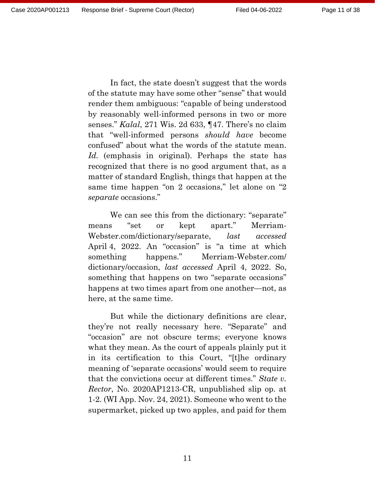In fact, the state doesn't suggest that the words of the statute may have some other "sense" that would render them ambiguous: "capable of being understood by reasonably well-informed persons in two or more senses." *Kalal*, 271 Wis. 2d 633, ¶47. There's no claim that "well-informed persons *should have* become confused" about what the words of the statute mean. *Id.* (emphasis in original). Perhaps the state has recognized that there is no good argument that, as a matter of standard English, things that happen at the same time happen "on 2 occasions," let alone on "2 *separate* occasions."

We can see this from the dictionary: "separate" means "set or kept apart." Merriam-Webster.com/dictionary/separate, *last accessed* April 4, 2022. An "occasion" is "a time at which something happens." Merriam-Webster.com/ dictionary/occasion, *last accessed* April 4, 2022. So, something that happens on two "separate occasions" happens at two times apart from one another—not, as here, at the same time.

But while the dictionary definitions are clear, they're not really necessary here. "Separate" and "occasion" are not obscure terms; everyone knows what they mean. As the court of appeals plainly put it in its certification to this Court, "[t]he ordinary meaning of 'separate occasions' would seem to require that the convictions occur at different times." *State v. Rector*, No. 2020AP1213-CR, unpublished slip op. at 1-2. (WI App. Nov. 24, 2021). Someone who went to the supermarket, picked up two apples, and paid for them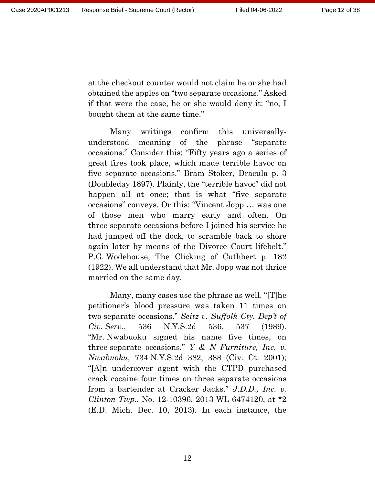at the checkout counter would not claim he or she had obtained the apples on "two separate occasions." Asked if that were the case, he or she would deny it: "no, I bought them at the same time."

Many writings confirm this universallyunderstood meaning of the phrase "separate occasions." Consider this: "Fifty years ago a series of great fires took place, which made terrible havoc on five separate occasions." Bram Stoker, Dracula p. 3 (Doubleday 1897). Plainly, the "terrible havoc" did not happen all at once; that is what "five separate occasions" conveys. Or this: "Vincent Jopp … was one of those men who marry early and often. On three separate occasions before I joined his service he had jumped off the dock, to scramble back to shore again later by means of the Divorce Court lifebelt." P.G. Wodehouse, The Clicking of Cuthbert p. 182 (1922). We all understand that Mr. Jopp was not thrice married on the same day.

Many, many cases use the phrase as well. "[T]he petitioner's blood pressure was taken 11 times on two separate occasions." *Seitz v. Suffolk Cty. Dep't of Civ. Serv.*, 536 N.Y.S.2d 536, 537 (1989). "Mr. Nwabuoku signed his name five times, on three separate occasions." *Y & N Furniture, Inc. v. Nwabuoku*, 734 N.Y.S.2d 382, 388 (Civ. Ct. 2001); "[A]n undercover agent with the CTPD purchased crack cocaine four times on three separate occasions from a bartender at Cracker Jacks." *J.D.D., Inc. v. Clinton Twp.*, No. 12-10396, 2013 WL 6474120, at \*2 (E.D. Mich. Dec. 10, 2013). In each instance, the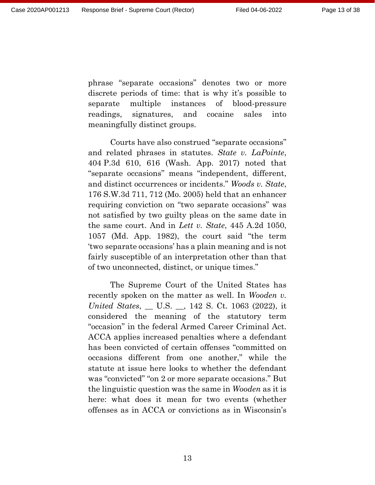Page 13 of 38

phrase "separate occasions" denotes two or more discrete periods of time: that is why it's possible to separate multiple instances of blood-pressure readings, signatures, and cocaine sales into meaningfully distinct groups.

Courts have also construed "separate occasions" and related phrases in statutes. *State v. LaPointe*, 404 P.3d 610, 616 (Wash. App. 2017) noted that "separate occasions" means "independent, different, and distinct occurrences or incidents." *Woods v. State*, 176 S.W.3d 711, 712 (Mo. 2005) held that an enhancer requiring conviction on "two separate occasions" was not satisfied by two guilty pleas on the same date in the same court. And in *Lett v. State*, 445 A.2d 1050, 1057 (Md. App. 1982), the court said "the term 'two separate occasions' has a plain meaning and is not fairly susceptible of an interpretation other than that of two unconnected, distinct, or unique times."

The Supreme Court of the United States has recently spoken on the matter as well. In *Wooden v. United States*, \_\_ U.S. \_\_, 142 S. Ct. 1063 (2022), it considered the meaning of the statutory term "occasion" in the federal Armed Career Criminal Act. ACCA applies increased penalties where a defendant has been convicted of certain offenses "committed on occasions different from one another," while the statute at issue here looks to whether the defendant was "convicted" "on 2 or more separate occasions." But the linguistic question was the same in *Wooden* as it is here: what does it mean for two events (whether offenses as in ACCA or convictions as in Wisconsin's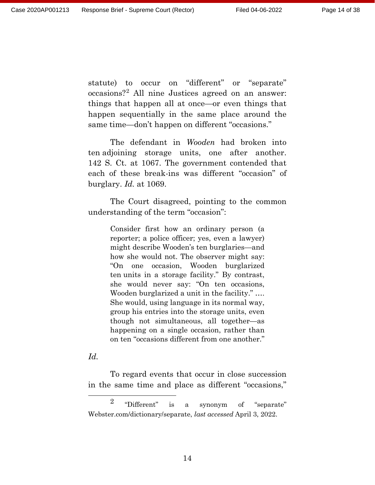statute) to occur on "different" or "separate" occasions?[2](#page-13-0) All nine Justices agreed on an answer: things that happen all at once—or even things that happen sequentially in the same place around the same time—don't happen on different "occasions."

The defendant in *Wooden* had broken into ten adjoining storage units, one after another. 142 S. Ct. at 1067. The government contended that each of these break-ins was different "occasion" of burglary. *Id.* at 1069.

The Court disagreed, pointing to the common understanding of the term "occasion":

> Consider first how an ordinary person (a reporter; a police officer; yes, even a lawyer) might describe Wooden's ten burglaries—and how she would not. The observer might say: "On one occasion, Wooden burglarized ten units in a storage facility." By contrast, she would never say: "On ten occasions, Wooden burglarized a unit in the facility." …. She would, using language in its normal way, group his entries into the storage units, even though not simultaneous, all together—as happening on a single occasion, rather than on ten "occasions different from one another."

#### *Id.*

To regard events that occur in close succession in the same time and place as different "occasions,"

<span id="page-13-0"></span> <sup>2</sup> "Different" is a synonym of "separate" Webster.com/dictionary/separate, *last accessed* April 3, 2022.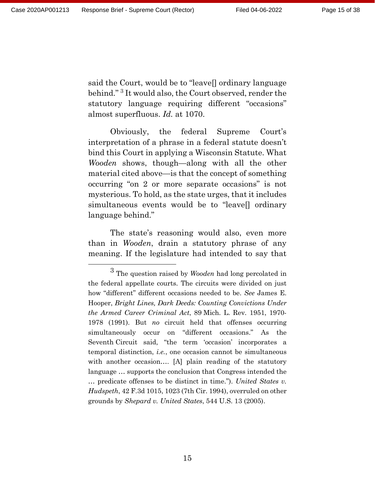said the Court, would be to "leave[] ordinary language behind."<sup>[3](#page-14-0)</sup> It would also, the Court observed, render the statutory language requiring different "occasions" almost superfluous. *Id.* at 1070.

Obviously, the federal Supreme Court's interpretation of a phrase in a federal statute doesn't bind this Court in applying a Wisconsin Statute. What *Wooden* shows, though—along with all the other material cited above—is that the concept of something occurring "on 2 or more separate occasions" is not mysterious. To hold, as the state urges, that it includes simultaneous events would be to "leave[] ordinary language behind."

The state's reasoning would also, even more than in *Wooden*, drain a statutory phrase of any meaning. If the legislature had intended to say that

<span id="page-14-0"></span> <sup>3</sup> The question raised by *Wooden* had long percolated in the federal appellate courts. The circuits were divided on just how "different" different occasions needed to be. *See* James E. Hooper, *Bright Lines, Dark Deeds: Counting Convictions Under the Armed Career Criminal Act*, 89 Mich. L. Rev. 1951, 1970- 1978 (1991). But *no* circuit held that offenses occurring simultaneously occur on "different occasions." As the Seventh Circuit said, "the term 'occasion' incorporates a temporal distinction, *i.e.*, one occasion cannot be simultaneous with another occasion.... [A] plain reading of the statutory language … supports the conclusion that Congress intended the … predicate offenses to be distinct in time."). *United States v. Hudspeth*, 42 F.3d 1015, 1023 (7th Cir. 1994), overruled on other grounds by *Shepard v. United States*, 544 U.S. 13 (2005).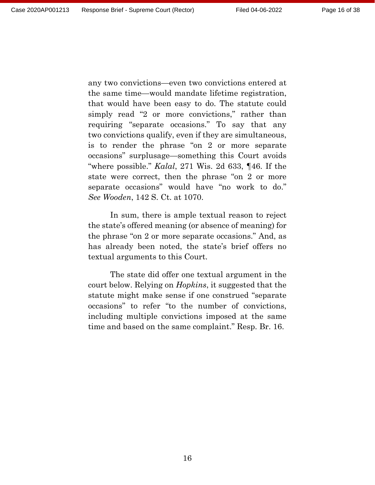any two convictions—even two convictions entered at the same time—would mandate lifetime registration, that would have been easy to do. The statute could simply read "2 or more convictions," rather than requiring "separate occasions." To say that any two convictions qualify, even if they are simultaneous, is to render the phrase "on 2 or more separate occasions" surplusage—something this Court avoids "where possible." *Kalal*, 271 Wis. 2d 633, ¶46. If the state were correct, then the phrase "on 2 or more separate occasions" would have "no work to do." *See Wooden*, 142 S. Ct. at 1070.

In sum, there is ample textual reason to reject the state's offered meaning (or absence of meaning) for the phrase "on 2 or more separate occasions." And, as has already been noted, the state's brief offers no textual arguments to this Court.

The state did offer one textual argument in the court below. Relying on *Hopkins*, it suggested that the statute might make sense if one construed "separate occasions" to refer "to the number of convictions, including multiple convictions imposed at the same time and based on the same complaint." Resp. Br. 16.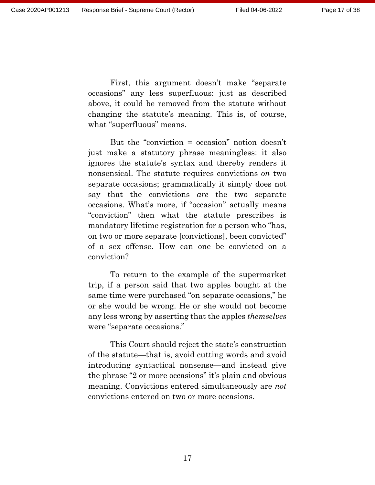First, this argument doesn't make "separate occasions" any less superfluous: just as described above, it could be removed from the statute without changing the statute's meaning. This is, of course, what "superfluous" means.

But the "conviction = occasion" notion doesn't just make a statutory phrase meaningless: it also ignores the statute's syntax and thereby renders it nonsensical. The statute requires convictions *on* two separate occasions; grammatically it simply does not say that the convictions *are* the two separate occasions. What's more, if "occasion" actually means "conviction" then what the statute prescribes is mandatory lifetime registration for a person who "has, on two or more separate [convictions], been convicted" of a sex offense. How can one be convicted on a conviction?

To return to the example of the supermarket trip, if a person said that two apples bought at the same time were purchased "on separate occasions," he or she would be wrong. He or she would not become any less wrong by asserting that the apples *themselves* were "separate occasions."

This Court should reject the state's construction of the statute—that is, avoid cutting words and avoid introducing syntactical nonsense—and instead give the phrase "2 or more occasions" it's plain and obvious meaning. Convictions entered simultaneously are *not*  convictions entered on two or more occasions.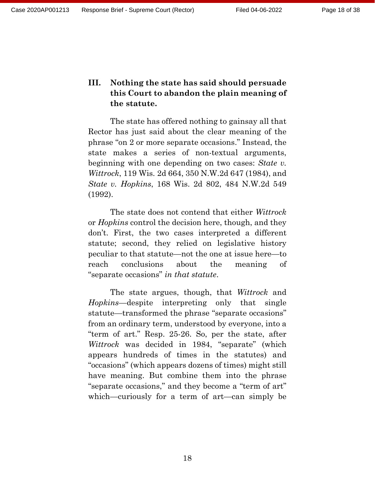## **III. Nothing the state has said should persuade this Court to abandon the plain meaning of the statute.**

The state has offered nothing to gainsay all that Rector has just said about the clear meaning of the phrase "on 2 or more separate occasions." Instead, the state makes a series of non-textual arguments, beginning with one depending on two cases: *State v. Wittrock*, 119 Wis. 2d 664, 350 N.W.2d 647 (1984), and *State v. Hopkins*, 168 Wis. 2d 802, 484 N.W.2d 549 (1992).

The state does not contend that either *Wittrock* or *Hopkins* control the decision here, though, and they don't. First, the two cases interpreted a different statute; second, they relied on legislative history peculiar to that statute—not the one at issue here—to reach conclusions about the meaning of "separate occasions" *in that statute*.

The state argues, though, that *Wittrock* and *Hopkins*—despite interpreting only that single statute—transformed the phrase "separate occasions" from an ordinary term, understood by everyone, into a "term of art." Resp. 25-26. So, per the state, after *Wittrock* was decided in 1984, "separate" (which appears hundreds of times in the statutes) and "occasions" (which appears dozens of times) might still have meaning. But combine them into the phrase "separate occasions," and they become a "term of art" which—curiously for a term of art—can simply be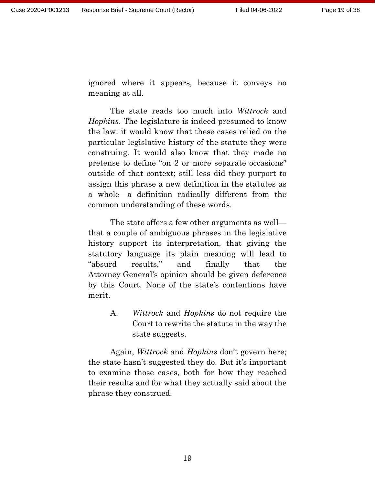ignored where it appears, because it conveys no meaning at all.

The state reads too much into *Wittrock* and *Hopkins*. The legislature is indeed presumed to know the law: it would know that these cases relied on the particular legislative history of the statute they were construing. It would also know that they made no pretense to define "on 2 or more separate occasions" outside of that context; still less did they purport to assign this phrase a new definition in the statutes as a whole—a definition radically different from the common understanding of these words.

The state offers a few other arguments as well that a couple of ambiguous phrases in the legislative history support its interpretation, that giving the statutory language its plain meaning will lead to "absurd results," and finally that the Attorney General's opinion should be given deference by this Court. None of the state's contentions have merit.

> A. *Wittrock* and *Hopkins* do not require the Court to rewrite the statute in the way the state suggests.

Again, *Wittrock* and *Hopkins* don't govern here; the state hasn't suggested they do. But it's important to examine those cases, both for how they reached their results and for what they actually said about the phrase they construed.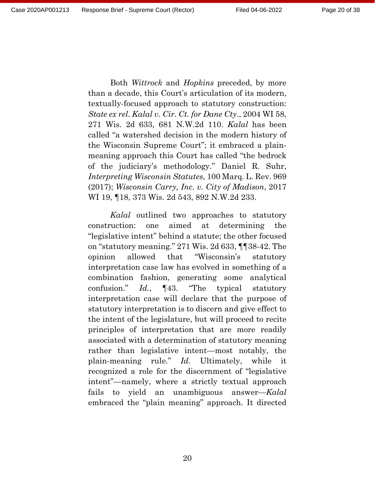Both *Wittrock* and *Hopkins* preceded, by more than a decade, this Court's articulation of its modern, textually-focused approach to statutory construction: *State ex rel. Kalal v. Cir. Ct. for Dane Cty.*, 2004 WI 58, 271 Wis. 2d 633, 681 N.W.2d 110. *Kalal* has been called "a watershed decision in the modern history of the Wisconsin Supreme Court"; it embraced a plainmeaning approach this Court has called "the bedrock of the judiciary's methodology." Daniel R. Suhr, *Interpreting Wisconsin Statutes*, 100 Marq. L. Rev. 969 (2017); *Wisconsin Carry, Inc. v. City of Madison*, 2017 WI 19, ¶18, 373 Wis. 2d 543, 892 N.W.2d 233.

*Kalal* outlined two approaches to statutory construction: one aimed at determining the "legislative intent" behind a statute; the other focused on "statutory meaning." 271 Wis. 2d 633, ¶¶38-42. The opinion allowed that "Wisconsin's statutory interpretation case law has evolved in something of a combination fashion, generating some analytical confusion." *Id.*, ¶43. "The typical statutory interpretation case will declare that the purpose of statutory interpretation is to discern and give effect to the intent of the legislature, but will proceed to recite principles of interpretation that are more readily associated with a determination of statutory meaning rather than legislative intent—most notably, the plain-meaning rule." *Id.* Ultimately, while it recognized a role for the discernment of "legislative intent"—namely, where a strictly textual approach fails to yield an unambiguous answer—*Kalal* embraced the "plain meaning" approach. It directed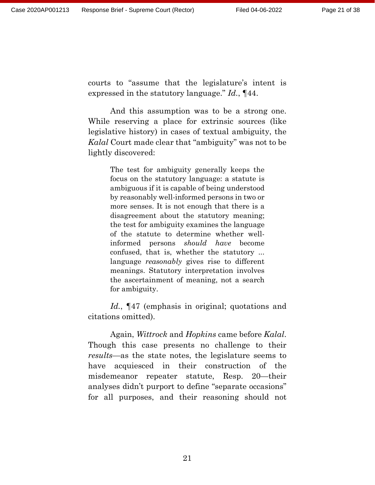courts to "assume that the legislature's intent is expressed in the statutory language." *Id.*, ¶44.

And this assumption was to be a strong one. While reserving a place for extrinsic sources (like legislative history) in cases of textual ambiguity, the *Kalal* Court made clear that "ambiguity" was not to be lightly discovered:

> The test for ambiguity generally keeps the focus on the statutory language: a statute is ambiguous if it is capable of being understood by reasonably well-informed persons in two or more senses. It is not enough that there is a disagreement about the statutory meaning; the test for ambiguity examines the language of the statute to determine whether wellinformed persons *should have* become confused, that is, whether the statutory ... language *reasonably* gives rise to different meanings. Statutory interpretation involves the ascertainment of meaning, not a search for ambiguity.

*Id.*, ¶47 (emphasis in original; quotations and citations omitted).

Again, *Wittrock* and *Hopkins* came before *Kalal*. Though this case presents no challenge to their *results*—as the state notes, the legislature seems to have acquiesced in their construction of the misdemeanor repeater statute, Resp. 20—their analyses didn't purport to define "separate occasions" for all purposes, and their reasoning should not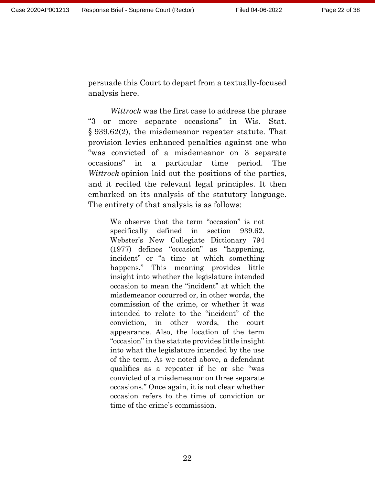persuade this Court to depart from a textually-focused analysis here.

*Wittrock* was the first case to address the phrase "3 or more separate occasions" in Wis. Stat. § 939.62(2), the misdemeanor repeater statute. That provision levies enhanced penalties against one who "was convicted of a misdemeanor on 3 separate occasions" in a particular time period. The *Wittrock* opinion laid out the positions of the parties, and it recited the relevant legal principles. It then embarked on its analysis of the statutory language. The entirety of that analysis is as follows:

> We observe that the term "occasion" is not specifically defined in section 939.62. Webster's New Collegiate Dictionary 794 (1977) defines "occasion" as "happening, incident" or "a time at which something happens." This meaning provides little insight into whether the legislature intended occasion to mean the "incident" at which the misdemeanor occurred or, in other words, the commission of the crime, or whether it was intended to relate to the "incident" of the conviction, in other words, the court appearance. Also, the location of the term "occasion" in the statute provides little insight into what the legislature intended by the use of the term. As we noted above, a defendant qualifies as a repeater if he or she "was convicted of a misdemeanor on three separate occasions." Once again, it is not clear whether occasion refers to the time of conviction or time of the crime's commission.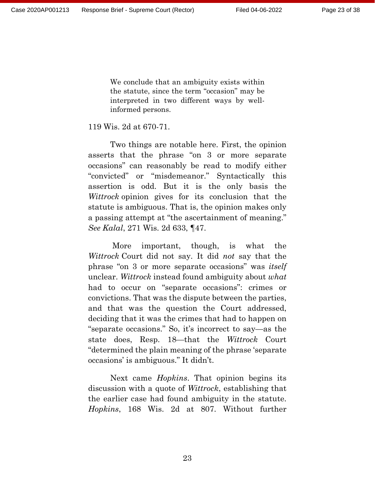We conclude that an ambiguity exists within the statute, since the term "occasion" may be interpreted in two different ways by wellinformed persons.

### 119 Wis. 2d at 670-71.

Two things are notable here. First, the opinion asserts that the phrase "on 3 or more separate occasions" can reasonably be read to modify either "convicted" or "misdemeanor." Syntactically this assertion is odd. But it is the only basis the *Wittrock* opinion gives for its conclusion that the statute is ambiguous. That is, the opinion makes only a passing attempt at "the ascertainment of meaning." *See Kalal*, 271 Wis. 2d 633, ¶47.

More important, though, is what the *Wittrock* Court did not say. It did *not* say that the phrase "on 3 or more separate occasions" was *itself* unclear. *Wittrock* instead found ambiguity about *what* had to occur on "separate occasions": crimes or convictions. That was the dispute between the parties, and that was the question the Court addressed, deciding that it was the crimes that had to happen on "separate occasions." So, it's incorrect to say—as the state does, Resp. 18—that the *Wittrock* Court "determined the plain meaning of the phrase 'separate occasions' is ambiguous." It didn't.

Next came *Hopkins*. That opinion begins its discussion with a quote of *Wittrock*, establishing that the earlier case had found ambiguity in the statute. *Hopkins*, 168 Wis. 2d at 807. Without further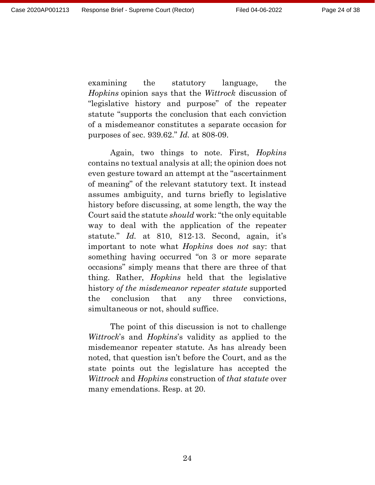examining the statutory language, the *Hopkins* opinion says that the *Wittrock* discussion of "legislative history and purpose" of the repeater statute "supports the conclusion that each conviction of a misdemeanor constitutes a separate occasion for purposes of sec. 939.62." *Id.* at 808-09.

Again, two things to note. First, *Hopkins* contains no textual analysis at all; the opinion does not even gesture toward an attempt at the "ascertainment of meaning" of the relevant statutory text. It instead assumes ambiguity, and turns briefly to legislative history before discussing, at some length, the way the Court said the statute *should* work: "the only equitable way to deal with the application of the repeater statute." *Id.* at 810, 812-13. Second, again, it's important to note what *Hopkins* does *not* say: that something having occurred "on 3 or more separate occasions" simply means that there are three of that thing. Rather, *Hopkins* held that the legislative history *of the misdemeanor repeater statute* supported the conclusion that any three convictions, simultaneous or not, should suffice.

The point of this discussion is not to challenge *Wittrock*'s and *Hopkins*'s validity as applied to the misdemeanor repeater statute. As has already been noted, that question isn't before the Court, and as the state points out the legislature has accepted the *Wittrock* and *Hopkins* construction of *that statute* over many emendations. Resp. at 20.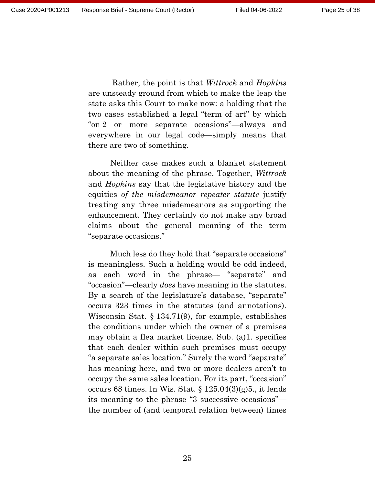Rather, the point is that *Wittrock* and *Hopkins* are unsteady ground from which to make the leap the state asks this Court to make now: a holding that the two cases established a legal "term of art" by which "on 2 or more separate occasions"—always and everywhere in our legal code—simply means that

Neither case makes such a blanket statement about the meaning of the phrase. Together, *Wittrock* and *Hopkins* say that the legislative history and the equities *of the misdemeanor repeater statute* justify treating any three misdemeanors as supporting the enhancement. They certainly do not make any broad claims about the general meaning of the term "separate occasions."

there are two of something.

Much less do they hold that "separate occasions" is meaningless. Such a holding would be odd indeed, as each word in the phrase— "separate" and "occasion"—clearly *does* have meaning in the statutes. By a search of the legislature's database, "separate" occurs 323 times in the statutes (and annotations). Wisconsin Stat. § 134.71(9), for example, establishes the conditions under which the owner of a premises may obtain a flea market license. Sub. (a)1. specifies that each dealer within such premises must occupy "a separate sales location." Surely the word "separate" has meaning here, and two or more dealers aren't to occupy the same sales location. For its part, "occasion" occurs 68 times. In Wis. Stat. § 125.04(3)(g)5., it lends its meaning to the phrase "3 successive occasions" the number of (and temporal relation between) times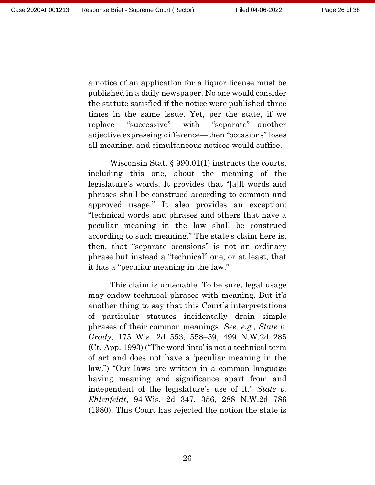a notice of an application for a liquor license must be published in a daily newspaper. No one would consider the statute satisfied if the notice were published three times in the same issue. Yet, per the state, if we replace "successive" with "separate"—another adjective expressing difference—then "occasions" loses all meaning, and simultaneous notices would suffice.

Wisconsin Stat. § 990.01(1) instructs the courts, including this one, about the meaning of the legislature's words. It provides that "[a]ll words and phrases shall be construed according to common and approved usage." It also provides an exception: "technical words and phrases and others that have a peculiar meaning in the law shall be construed according to such meaning." The state's claim here is, then, that "separate occasions" is not an ordinary phrase but instead a "technical" one; or at least, that it has a "peculiar meaning in the law."

This claim is untenable. To be sure, legal usage may endow technical phrases with meaning. But it's another thing to say that this Court's interpretations of particular statutes incidentally drain simple phrases of their common meanings. *See, e.g.*, *State v. Grady*, 175 Wis. 2d 553, 558–59, 499 N.W.2d 285 (Ct. App. 1993) ("The word 'into' is not a technical term of art and does not have a 'peculiar meaning in the law.") "Our laws are written in a common language having meaning and significance apart from and independent of the legislature's use of it." *State v. Ehlenfeldt*, 94 Wis. 2d 347, 356, 288 N.W.2d 786 (1980). This Court has rejected the notion the state is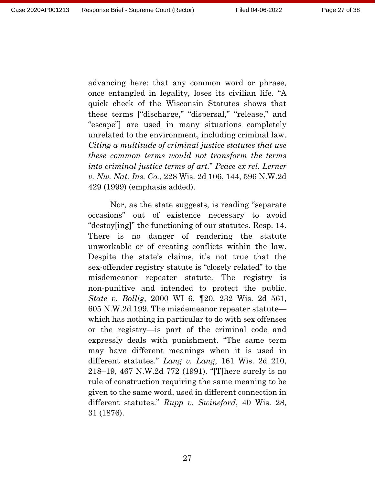advancing here: that any common word or phrase, once entangled in legality, loses its civilian life. "A quick check of the Wisconsin Statutes shows that these terms ["discharge," "dispersal," "release," and "escape"] are used in many situations completely unrelated to the environment, including criminal law. *Citing a multitude of criminal justice statutes that use these common terms would not transform the terms into criminal justice terms of art.*" *Peace ex rel. Lerner v. Nw. Nat. Ins. Co.*, 228 Wis. 2d 106, 144, 596 N.W.2d 429 (1999) (emphasis added).

Nor, as the state suggests, is reading "separate occasions" out of existence necessary to avoid "destoy[ing]" the functioning of our statutes. Resp. 14. There is no danger of rendering the statute unworkable or of creating conflicts within the law. Despite the state's claims, it's not true that the sex-offender registry statute is "closely related" to the misdemeanor repeater statute. The registry is non-punitive and intended to protect the public. *State v. Bollig*, 2000 WI 6, ¶20, 232 Wis. 2d 561, 605 N.W.2d 199. The misdemeanor repeater statute which has nothing in particular to do with sex offenses or the registry—is part of the criminal code and expressly deals with punishment. "The same term may have different meanings when it is used in different statutes." *Lang v. Lang*, 161 Wis. 2d 210, 218–19, 467 N.W.2d 772 (1991). "[T]here surely is no rule of construction requiring the same meaning to be given to the same word, used in different connection in different statutes." *Rupp v. Swineford*, 40 Wis. 28, 31 (1876).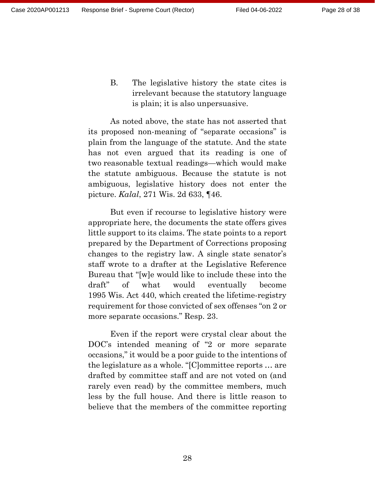B. The legislative history the state cites is irrelevant because the statutory language is plain; it is also unpersuasive.

As noted above, the state has not asserted that its proposed non-meaning of "separate occasions" is plain from the language of the statute. And the state has not even argued that its reading is one of two reasonable textual readings—which would make the statute ambiguous. Because the statute is not ambiguous, legislative history does not enter the picture. *Kalal*, 271 Wis. 2d 633, ¶46.

But even if recourse to legislative history were appropriate here, the documents the state offers gives little support to its claims. The state points to a report prepared by the Department of Corrections proposing changes to the registry law. A single state senator's staff wrote to a drafter at the Legislative Reference Bureau that "[w]e would like to include these into the draft" of what would eventually become 1995 Wis. Act 440, which created the lifetime-registry requirement for those convicted of sex offenses "on 2 or more separate occasions." Resp. 23.

Even if the report were crystal clear about the DOC's intended meaning of "2 or more separate occasions," it would be a poor guide to the intentions of the legislature as a whole. "[C]ommittee reports … are drafted by committee staff and are not voted on (and rarely even read) by the committee members, much less by the full house. And there is little reason to believe that the members of the committee reporting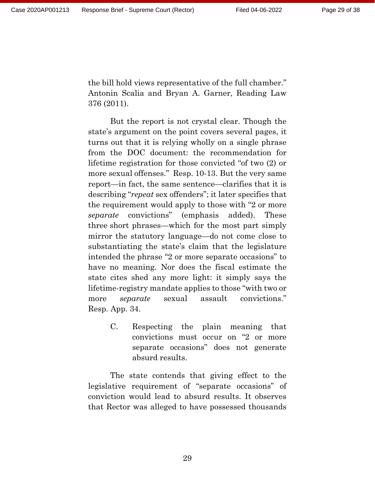the bill hold views representative of the full chamber." Antonin Scalia and Bryan A. Garner, Reading Law 376 (2011).

But the report is not crystal clear. Though the state's argument on the point covers several pages, it turns out that it is relying wholly on a single phrase from the DOC document: the recommendation for lifetime registration for those convicted "of two (2) or more sexual offenses." Resp. 10-13. But the very same report—in fact, the same sentence—clarifies that it is describing "*repeat* sex offenders"; it later specifies that the requirement would apply to those with "2 or more *separate* convictions" (emphasis added). These three short phrases—which for the most part simply mirror the statutory language—do not come close to substantiating the state's claim that the legislature intended the phrase "2 or more separate occasions" to have no meaning. Nor does the fiscal estimate the state cites shed any more light: it simply says the lifetime-registry mandate applies to those "with two or more *separate* sexual assault convictions." Resp. App. 34.

> C. Respecting the plain meaning that convictions must occur on "2 or more separate occasions" does not generate absurd results.

The state contends that giving effect to the legislative requirement of "separate occasions" of conviction would lead to absurd results. It observes that Rector was alleged to have possessed thousands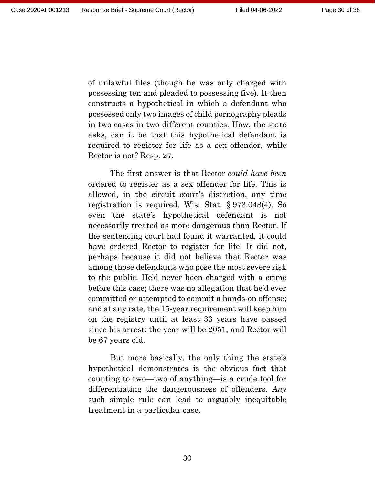of unlawful files (though he was only charged with possessing ten and pleaded to possessing five). It then constructs a hypothetical in which a defendant who possessed only two images of child pornography pleads in two cases in two different counties. How, the state asks, can it be that this hypothetical defendant is required to register for life as a sex offender, while Rector is not? Resp. 27.

The first answer is that Rector *could have been* ordered to register as a sex offender for life. This is allowed, in the circuit court's discretion, any time registration is required. Wis. Stat. § 973.048(4). So even the state's hypothetical defendant is not necessarily treated as more dangerous than Rector. If the sentencing court had found it warranted, it could have ordered Rector to register for life. It did not, perhaps because it did not believe that Rector was among those defendants who pose the most severe risk to the public. He'd never been charged with a crime before this case; there was no allegation that he'd ever committed or attempted to commit a hands-on offense; and at any rate, the 15-year requirement will keep him on the registry until at least 33 years have passed since his arrest: the year will be 2051, and Rector will be 67 years old.

But more basically, the only thing the state's hypothetical demonstrates is the obvious fact that counting to two—two of anything—is a crude tool for differentiating the dangerousness of offenders. *Any* such simple rule can lead to arguably inequitable treatment in a particular case.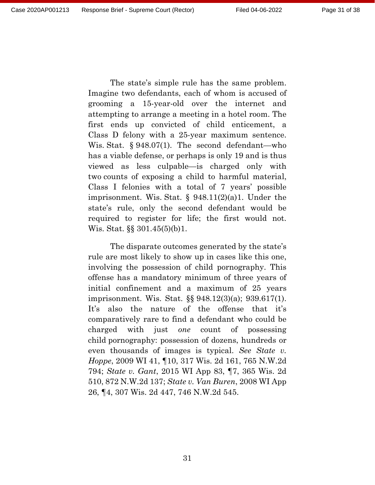The state's simple rule has the same problem. Imagine two defendants, each of whom is accused of grooming a 15-year-old over the internet and attempting to arrange a meeting in a hotel room. The first ends up convicted of child enticement, a Class D felony with a 25-year maximum sentence. Wis. Stat. § 948.07(1). The second defendant—who has a viable defense, or perhaps is only 19 and is thus viewed as less culpable—is charged only with two counts of exposing a child to harmful material, Class I felonies with a total of 7 years' possible imprisonment. Wis. Stat. § 948.11(2)(a)1. Under the state's rule, only the second defendant would be required to register for life; the first would not. Wis. Stat. §§ 301.45(5)(b)1.

The disparate outcomes generated by the state's rule are most likely to show up in cases like this one, involving the possession of child pornography. This offense has a mandatory minimum of three years of initial confinement and a maximum of 25 years imprisonment. Wis. Stat. §§ 948.12(3)(a); 939.617(1). It's also the nature of the offense that it's comparatively rare to find a defendant who could be charged with just *one* count of possessing child pornography: possession of dozens, hundreds or even thousands of images is typical. *See State v. Hoppe*, 2009 WI 41, ¶10, 317 Wis. 2d 161, 765 N.W.2d 794; *State v. Gant*, 2015 WI App 83, ¶7, 365 Wis. 2d 510, 872 N.W.2d 137; *State v. Van Buren*, 2008 WI App 26, ¶4, 307 Wis. 2d 447, 746 N.W.2d 545.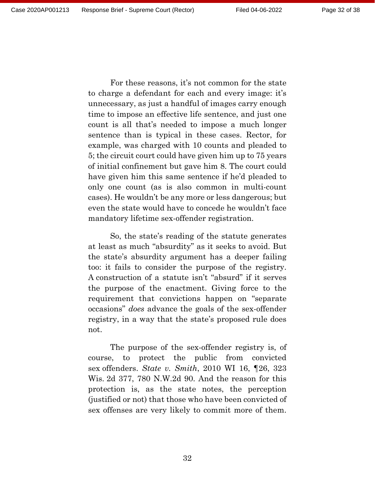For these reasons, it's not common for the state to charge a defendant for each and every image: it's unnecessary, as just a handful of images carry enough time to impose an effective life sentence, and just one count is all that's needed to impose a much longer sentence than is typical in these cases. Rector, for example, was charged with 10 counts and pleaded to 5; the circuit court could have given him up to 75 years of initial confinement but gave him 8. The court could have given him this same sentence if he'd pleaded to only one count (as is also common in multi-count cases). He wouldn't be any more or less dangerous; but even the state would have to concede he wouldn't face mandatory lifetime sex-offender registration.

So, the state's reading of the statute generates at least as much "absurdity" as it seeks to avoid. But the state's absurdity argument has a deeper failing too: it fails to consider the purpose of the registry. A construction of a statute isn't "absurd" if it serves the purpose of the enactment. Giving force to the requirement that convictions happen on "separate occasions" *does* advance the goals of the sex-offender registry, in a way that the state's proposed rule does not.

The purpose of the sex-offender registry is, of course, to protect the public from convicted sex offenders. *State v. Smith*, 2010 WI 16, ¶26, 323 Wis. 2d 377, 780 N.W.2d 90. And the reason for this protection is, as the state notes, the perception (justified or not) that those who have been convicted of sex offenses are very likely to commit more of them.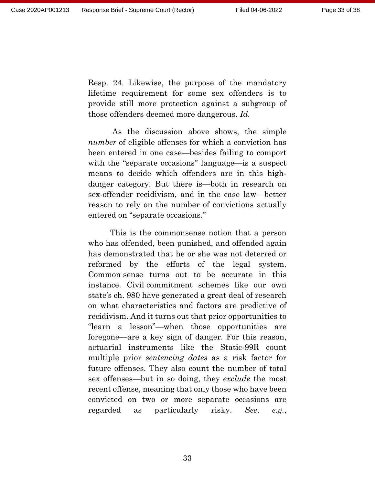Resp. 24. Likewise, the purpose of the mandatory lifetime requirement for some sex offenders is to provide still more protection against a subgroup of those offenders deemed more dangerous. *Id.*

As the discussion above shows, the simple *number* of eligible offenses for which a conviction has been entered in one case—besides failing to comport with the "separate occasions" language—is a suspect means to decide which offenders are in this highdanger category. But there is—both in research on sex-offender recidivism, and in the case law—better reason to rely on the number of convictions actually entered on "separate occasions."

This is the commonsense notion that a person who has offended, been punished, and offended again has demonstrated that he or she was not deterred or reformed by the efforts of the legal system. Common sense turns out to be accurate in this instance. Civil commitment schemes like our own state's ch. 980 have generated a great deal of research on what characteristics and factors are predictive of recidivism. And it turns out that prior opportunities to "learn a lesson"—when those opportunities are foregone—are a key sign of danger. For this reason, actuarial instruments like the Static-99R count multiple prior *sentencing dates* as a risk factor for future offenses. They also count the number of total sex offenses—but in so doing, they *exclude* the most recent offense, meaning that only those who have been convicted on two or more separate occasions are regarded as particularly risky. *See*, *e.g.*,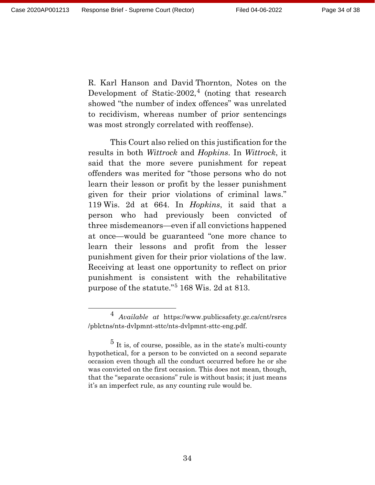R. Karl Hanson and David Thornton, Notes on the Development of Static-2002,<sup>[4](#page-33-0)</sup> (noting that research showed "the number of index offences" was unrelated to recidivism, whereas number of prior sentencings was most strongly correlated with reoffense).

This Court also relied on this justification for the results in both *Wittrock* and *Hopkins*. In *Wittrock*, it said that the more severe punishment for repeat offenders was merited for "those persons who do not learn their lesson or profit by the lesser punishment given for their prior violations of criminal laws." 119 Wis. 2d at 664. In *Hopkins*, it said that a person who had previously been convicted of three misdemeanors—even if all convictions happened at once—would be guaranteed "one more chance to learn their lessons and profit from the lesser punishment given for their prior violations of the law. Receiving at least one opportunity to reflect on prior punishment is consistent with the rehabilitative purpose of the statute."[5](#page-33-1) 168 Wis. 2d at 813.

<span id="page-33-0"></span> <sup>4</sup> *Available at* https://www.publicsafety.gc.ca/cnt/rsrcs /pblctns/nts-dvlpmnt-sttc/nts-dvlpmnt-sttc-eng.pdf.

<span id="page-33-1"></span> $5$  It is, of course, possible, as in the state's multi-county hypothetical, for a person to be convicted on a second separate occasion even though all the conduct occurred before he or she was convicted on the first occasion. This does not mean, though, that the "separate occasions" rule is without basis; it just means it's an imperfect rule, as any counting rule would be.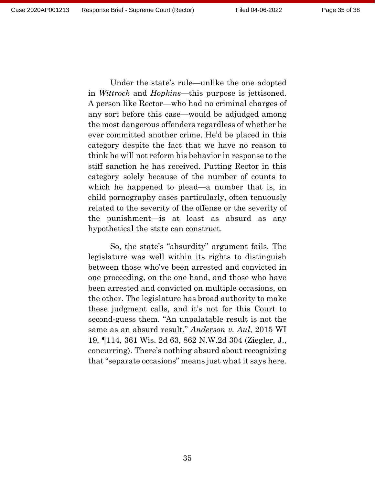Under the state's rule—unlike the one adopted in *Wittrock* and *Hopkins*—this purpose is jettisoned. A person like Rector—who had no criminal charges of any sort before this case—would be adjudged among the most dangerous offenders regardless of whether he ever committed another crime. He'd be placed in this category despite the fact that we have no reason to think he will not reform his behavior in response to the stiff sanction he has received. Putting Rector in this category solely because of the number of counts to which he happened to plead—a number that is, in child pornography cases particularly, often tenuously related to the severity of the offense or the severity of the punishment—is at least as absurd as any hypothetical the state can construct.

So, the state's "absurdity" argument fails. The legislature was well within its rights to distinguish between those who've been arrested and convicted in one proceeding, on the one hand, and those who have been arrested and convicted on multiple occasions, on the other. The legislature has broad authority to make these judgment calls, and it's not for this Court to second-guess them. "An unpalatable result is not the same as an absurd result." *Anderson v. Aul*, 2015 WI 19, ¶114, 361 Wis. 2d 63, 862 N.W.2d 304 (Ziegler, J., concurring). There's nothing absurd about recognizing that "separate occasions" means just what it says here.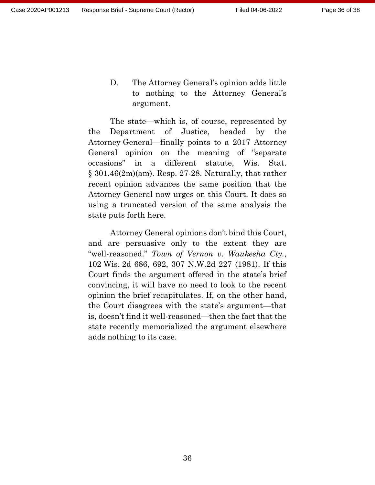D. The Attorney General's opinion adds little to nothing to the Attorney General's argument.

The state—which is, of course, represented by the Department of Justice, headed by the Attorney General—finally points to a 2017 Attorney General opinion on the meaning of "separate occasions" in a different statute, Wis. Stat.  $\S 301.46(2m)(am)$ . Resp. 27-28. Naturally, that rather recent opinion advances the same position that the Attorney General now urges on this Court. It does so using a truncated version of the same analysis the state puts forth here.

Attorney General opinions don't bind this Court, and are persuasive only to the extent they are "well-reasoned." *Town of Vernon v. Waukesha Cty.*, 102 Wis. 2d 686, 692, 307 N.W.2d 227 (1981). If this Court finds the argument offered in the state's brief convincing, it will have no need to look to the recent opinion the brief recapitulates. If, on the other hand, the Court disagrees with the state's argument—that is, doesn't find it well-reasoned—then the fact that the state recently memorialized the argument elsewhere adds nothing to its case.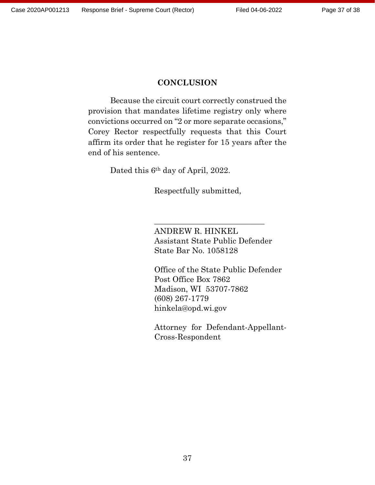### **CONCLUSION**

Because the circuit court correctly construed the provision that mandates lifetime registry only where convictions occurred on "2 or more separate occasions," Corey Rector respectfully requests that this Court affirm its order that he register for 15 years after the end of his sentence.

Dated this 6th day of April, 2022.

Respectfully submitted,

ANDREW R. HINKEL Assistant State Public Defender State Bar No. 1058128

 $\overline{\phantom{a}}$  , where  $\overline{\phantom{a}}$  , where  $\overline{\phantom{a}}$  ,  $\overline{\phantom{a}}$  ,  $\overline{\phantom{a}}$  ,  $\overline{\phantom{a}}$  ,  $\overline{\phantom{a}}$  ,  $\overline{\phantom{a}}$  ,  $\overline{\phantom{a}}$  ,  $\overline{\phantom{a}}$  ,  $\overline{\phantom{a}}$  ,  $\overline{\phantom{a}}$  ,  $\overline{\phantom{a}}$  ,  $\overline{\phantom{a}}$  ,  $\overline{\phantom{a}}$  ,

Office of the State Public Defender Post Office Box 7862 Madison, WI 53707-7862 (608) 267-1779 hinkela@opd.wi.gov

Attorney for Defendant-Appellant-Cross-Respondent